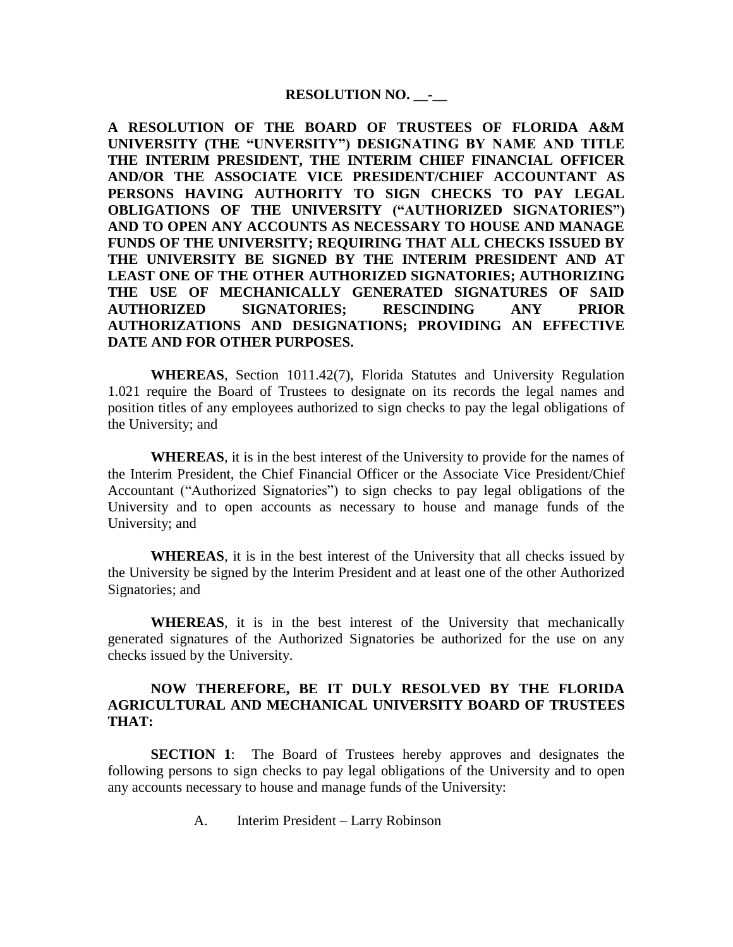## **RESOLUTION NO. \_\_-\_\_**

**A RESOLUTION OF THE BOARD OF TRUSTEES OF FLORIDA A&M UNIVERSITY (THE "UNVERSITY") DESIGNATING BY NAME AND TITLE THE INTERIM PRESIDENT, THE INTERIM CHIEF FINANCIAL OFFICER AND/OR THE ASSOCIATE VICE PRESIDENT/CHIEF ACCOUNTANT AS PERSONS HAVING AUTHORITY TO SIGN CHECKS TO PAY LEGAL OBLIGATIONS OF THE UNIVERSITY ("AUTHORIZED SIGNATORIES") AND TO OPEN ANY ACCOUNTS AS NECESSARY TO HOUSE AND MANAGE FUNDS OF THE UNIVERSITY; REQUIRING THAT ALL CHECKS ISSUED BY THE UNIVERSITY BE SIGNED BY THE INTERIM PRESIDENT AND AT LEAST ONE OF THE OTHER AUTHORIZED SIGNATORIES; AUTHORIZING THE USE OF MECHANICALLY GENERATED SIGNATURES OF SAID AUTHORIZED SIGNATORIES; RESCINDING ANY PRIOR AUTHORIZATIONS AND DESIGNATIONS; PROVIDING AN EFFECTIVE DATE AND FOR OTHER PURPOSES.** 

**WHEREAS**, Section 1011.42(7), Florida Statutes and University Regulation 1.021 require the Board of Trustees to designate on its records the legal names and position titles of any employees authorized to sign checks to pay the legal obligations of the University; and

**WHEREAS**, it is in the best interest of the University to provide for the names of the Interim President, the Chief Financial Officer or the Associate Vice President/Chief Accountant ("Authorized Signatories") to sign checks to pay legal obligations of the University and to open accounts as necessary to house and manage funds of the University; and

**WHEREAS**, it is in the best interest of the University that all checks issued by the University be signed by the Interim President and at least one of the other Authorized Signatories; and

**WHEREAS**, it is in the best interest of the University that mechanically generated signatures of the Authorized Signatories be authorized for the use on any checks issued by the University.

## **NOW THEREFORE, BE IT DULY RESOLVED BY THE FLORIDA AGRICULTURAL AND MECHANICAL UNIVERSITY BOARD OF TRUSTEES THAT:**

**SECTION 1**: The Board of Trustees hereby approves and designates the following persons to sign checks to pay legal obligations of the University and to open any accounts necessary to house and manage funds of the University:

A. Interim President – Larry Robinson